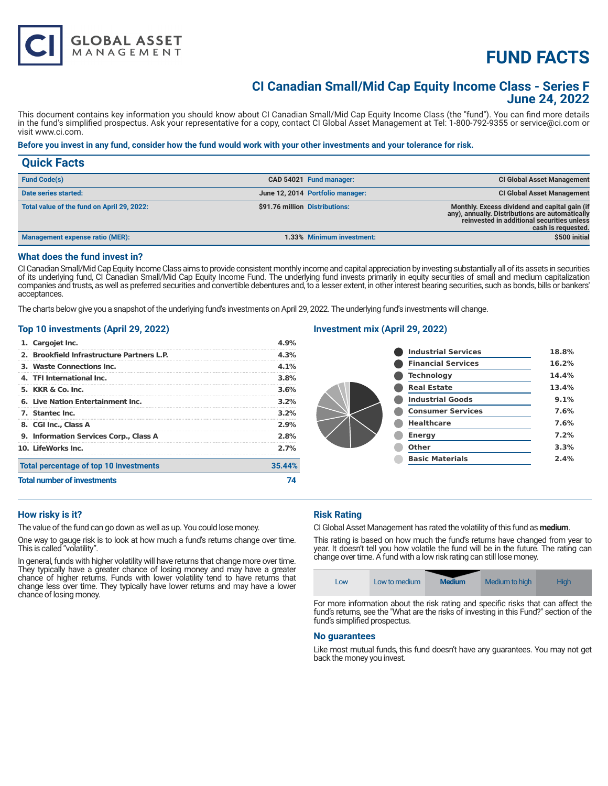# **FUND FACTS**

# **CI Canadian Small/Mid Cap Equity Income Class - Series F June 24, 2022**

This document contains key information you should know about CI Canadian Small/Mid Cap Equity Income Class (the "fund"). You can find more details in the fund's simplified prospectus. Ask your representative for a copy, contact CI Global Asset Management at Tel: 1-800-792-9355 or service@ci.com or visit www.ci.com.

### **Before you invest in any fund, consider how the fund would work with your other investments and your tolerance for risk.**

| <b>Quick Facts</b>                         |                                |                                  |                                                                                                                                                                      |
|--------------------------------------------|--------------------------------|----------------------------------|----------------------------------------------------------------------------------------------------------------------------------------------------------------------|
| <b>Fund Code(s)</b>                        |                                | CAD 54021 Fund manager:          | <b>CI Global Asset Management</b>                                                                                                                                    |
| Date series started:                       |                                | June 12, 2014 Portfolio manager: | <b>CI Global Asset Management</b>                                                                                                                                    |
| Total value of the fund on April 29, 2022: | \$91.76 million Distributions: |                                  | Monthly. Excess dividend and capital gain (if<br>any), annually. Distributions are automatically<br>reinvested in additional securities unless<br>cash is requested. |
| Management expense ratio (MER):            |                                | 1.33% Minimum investment:        | \$500 initial                                                                                                                                                        |

## **What does the fund invest in?**

CI Canadian Small/Mid Cap Equity Income Class aims to provide consistent monthly income and capital appreciation by investing substantially all of its assets in securities of its underlying fund, CI Canadian Small/Mid Cap Equity Income Fund. The underlying fund invests primarily in equity securities of small and medium capitalization companies and trusts, as well as preferred securities and convertible debentures and, to a lesser extent, in other interest bearing securities, such as bonds, bills or bankers' acceptances.

The charts below give you a snapshot of the underlying fund's investments on April 29, 2022. The underlying fund's investments will change.

#### **Top 10 investments (April 29, 2022)**

**GLOBAL ASSET**<br>MANAGEMENT

| <b>Total number of investments</b>         |         |  |
|--------------------------------------------|---------|--|
| Total percentage of top 10 investments     | 35.44%  |  |
| 10. LifeWorks Inc.                         | 2.7%    |  |
| 9. Information Services Corp., Class A     | 2.8%    |  |
| 8. CGI Inc., Class A                       | 2.9%    |  |
| 7. Stantec Inc.                            | 3.2%    |  |
| 6. Live Nation Entertainment Inc.          | $3.2\%$ |  |
| 5. <b>KKR &amp; Co. Inc.</b>               | 3.6%    |  |
| 4. TFI International Inc.                  | 3.8%    |  |
| 3. Waste Connections Inc.                  | $4.1\%$ |  |
| 2. Brookfield Infrastructure Partners L.P. | 4.3%    |  |
| 1. Cargojet Inc.                           | 4.9%    |  |

# **Investment mix (April 29, 2022)**

|  | <b>Industrial Services</b> | 18.8% |
|--|----------------------------|-------|
|  | <b>Financial Services</b>  | 16.2% |
|  | <b>Technology</b>          | 14.4% |
|  | <b>Real Estate</b>         | 13.4% |
|  | <b>Industrial Goods</b>    | 9.1%  |
|  | <b>Consumer Services</b>   | 7.6%  |
|  | <b>Healthcare</b>          | 7.6%  |
|  | <b>Energy</b>              | 7.2%  |
|  | Other                      | 3.3%  |
|  | <b>Basic Materials</b>     | 2.4%  |
|  |                            |       |

#### **How risky is it?**

The value of the fund can go down as well as up. You could lose money.

One way to gauge risk is to look at how much a fund's returns change over time. This is called "volatility".

In general, funds with higher volatility will have returns that change more over time. They typically have a greater chance of losing money and may have a greater chance of higher returns. Funds with lower volatility tend to have returns that change less over time. They typically have lower returns and may have a lower chance of losing money.

# **Risk Rating**

CI Global Asset Management has rated the volatility of this fund as **medium**.

This rating is based on how much the fund's returns have changed from year to year. It doesn't tell you how volatile the fund will be in the future. The rating can change over time. A fund with a low risk rating can still lose money.

|  | LOW | Low to medium | <b>Medium</b> | Medium to high | Hiah |
|--|-----|---------------|---------------|----------------|------|
|--|-----|---------------|---------------|----------------|------|

For more information about the risk rating and specific risks that can affect the fund's returns, see the "What are the risks of investing in this Fund?" section of the fund's simplified prospectus.

#### **No guarantees**

Like most mutual funds, this fund doesn't have any guarantees. You may not get back the money you invest.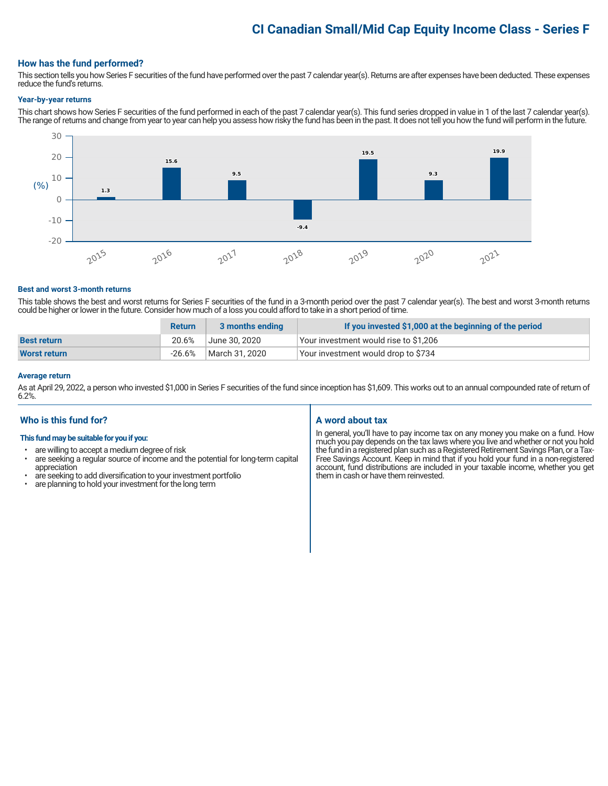# **CI Canadian Small/Mid Cap Equity Income Class - Series F**

### **How has the fund performed?**

This section tells you how Series F securities of the fund have performed over the past 7 calendar year(s). Returns are after expenses have been deducted. These expenses reduce the fund's returns.

#### **Year-by-year returns**

This chart shows how Series F securities of the fund performed in each of the past 7 calendar year(s). This fund series dropped in value in 1 of the last 7 calendar year(s). The range of returns and change from year to year can help you assess how risky the fund has been in the past. It does not tell you how the fund will perform in the future.



#### **Best and worst 3-month returns**

This table shows the best and worst returns for Series F securities of the fund in a 3-month period over the past 7 calendar year(s). The best and worst 3-month returns could be higher or lower in the future. Consider how much of a loss you could afford to take in a short period of time.

|                     | <b>Return</b> | 3 months ending | If you invested \$1,000 at the beginning of the period |
|---------------------|---------------|-----------------|--------------------------------------------------------|
| <b>Best return</b>  | 20.6%         | June 30. 2020   | Your investment would rise to \$1,206                  |
| <b>Worst return</b> | $-26.6\%$     | March 31, 2020  | Your investment would drop to \$734                    |

#### **Average return**

As at April 29, 2022, a person who invested \$1,000 in Series F securities of the fund since inception has \$1,609. This works out to an annual compounded rate of return of 6.2%.

#### **Who is this fund for?**

#### **This fund may be suitable for you if you:**

- are willing to accept a medium degree of risk
- are seeking a regular source of income and the potential for long-term capital appreciation
- are seeking to add diversification to your investment portfolio<br>• are planning to bold your investment for the long term
- are planning to hold your investment for the long term

# **A word about tax**

In general, you'll have to pay income tax on any money you make on a fund. How much you pay depends on the tax laws where you live and whether or not you hold the fund in a registered plan such as a Registered Retirement Savings Plan, or a Tax-Free Savings Account. Keep in mind that if you hold your fund in a non-registered account, fund distributions are included in your taxable income, whether you get them in cash or have them reinvested.